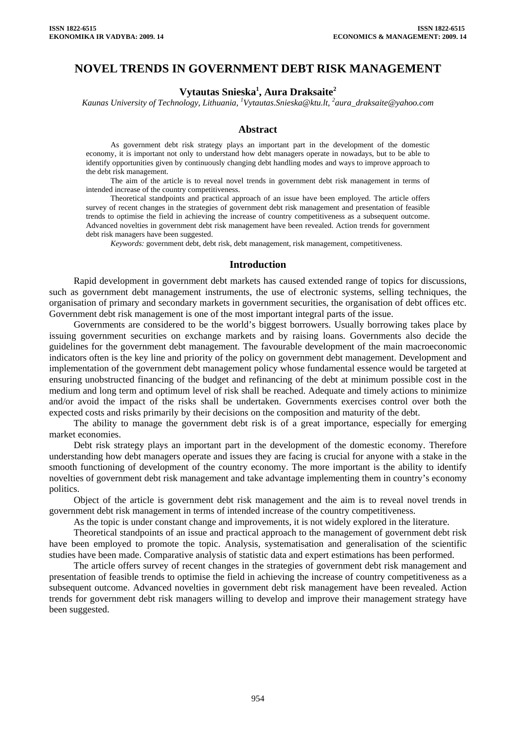# **NOVEL TRENDS IN GOVERNMENT DEBT RISK MANAGEMENT**

# **Vytautas Snieska1 , Aura Draksaite2**

*Kaunas University of Technology, Lithuania, [1](mailto:1Vytautas.Snieska@ktu.lt) [Vytautas.Snieska@ktu.lt,](mailto:1Vytautas.Snieska@ktu.lt) <sup>2</sup> aura\_draksaite@yahoo.com* 

### **Abstract**

As government debt risk strategy plays an important part in the development of the domestic economy, it is important not only to understand how debt managers operate in nowadays, but to be able to identify opportunities given by continuously changing debt handling modes and ways to improve approach to the debt risk management.

The aim of the article is to reveal novel trends in government debt risk management in terms of intended increase of the country competitiveness.

Theoretical standpoints and practical approach of an issue have been employed. The article offers survey of recent changes in the strategies of government debt risk management and presentation of feasible trends to optimise the field in achieving the increase of country competitiveness as a subsequent outcome. Advanced novelties in government debt risk management have been revealed. Action trends for government debt risk managers have been suggested.

*Keywords:* government debt, debt risk, debt management, risk management, competitiveness.

### **Introduction**

Rapid development in government debt markets has caused extended range of topics for discussions, such as government debt management instruments, the use of electronic systems, selling techniques, the organisation of primary and secondary markets in government securities, the organisation of debt offices etc. Government debt risk management is one of the most important integral parts of the issue.

Governments are considered to be the world's biggest borrowers. Usually borrowing takes place by issuing government securities on exchange markets and by raising loans. Governments also decide the guidelines for the government debt management. The favourable development of the main macroeconomic indicators often is the key line and priority of the policy on government debt management. Development and implementation of the government debt management policy whose fundamental essence would be targeted at ensuring unobstructed financing of the budget and refinancing of the debt at minimum possible cost in the medium and long term and optimum level of risk shall be reached. Adequate and timely actions to minimize and/or avoid the impact of the risks shall be undertaken. Governments exercises control over both the expected costs and risks primarily by their decisions on the composition and maturity of the debt.

The ability to manage the government debt risk is of a great importance, especially for emerging market economies.

Debt risk strategy plays an important part in the development of the domestic economy. Therefore understanding how debt managers operate and issues they are facing is crucial for anyone with a stake in the smooth functioning of development of the country economy. The more important is the ability to identify novelties of government debt risk management and take advantage implementing them in country's economy politics.

Object of the article is government debt risk management and the aim is to reveal novel trends in government debt risk management in terms of intended increase of the country competitiveness.

As the topic is under constant change and improvements, it is not widely explored in the literature.

Theoretical standpoints of an issue and practical approach to the management of government debt risk have been employed to promote the topic. Analysis, systematisation and generalisation of the scientific studies have been made. Comparative analysis of statistic data and expert estimations has been performed.

The article offers survey of recent changes in the strategies of government debt risk management and presentation of feasible trends to optimise the field in achieving the increase of country competitiveness as a subsequent outcome. Advanced novelties in government debt risk management have been revealed. Action trends for government debt risk managers willing to develop and improve their management strategy have been suggested.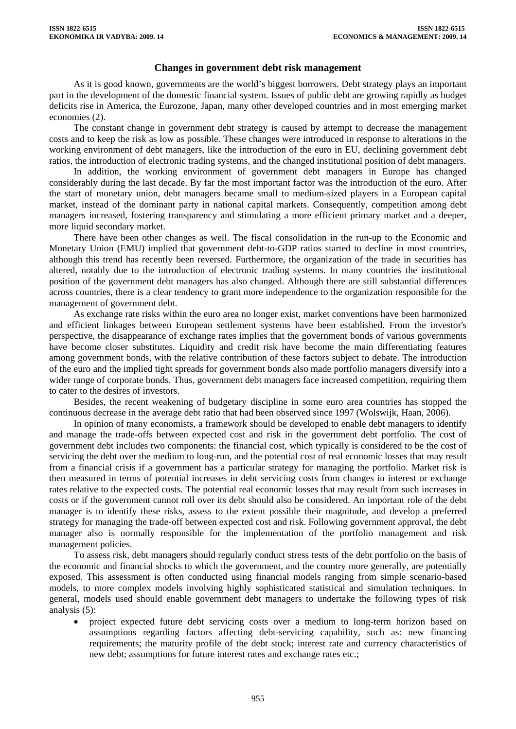# **Changes in government debt risk management**

As it is good known, governments are the world's biggest borrowers. Debt strategy plays an important part in the development of the domestic financial system. Issues of public debt are growing rapidly as budget deficits rise in America, the Eurozone, Japan, many other developed countries and in most emerging market economies (2).

The constant change in government debt strategy is caused by attempt to decrease the management costs and to keep the risk as low as possible. These changes were introduced in response to alterations in the working environment of debt managers, like the introduction of the euro in EU, declining government debt ratios, the introduction of electronic trading systems, and the changed institutional position of debt managers.

In addition, the working environment of government debt managers in Europe has changed considerably during the last decade. By far the most important factor was the introduction of the euro. After the start of monetary union, debt managers became small to medium-sized players in a European capital market, instead of the dominant party in national capital markets. Consequently, competition among debt managers increased, fostering transparency and stimulating a more efficient primary market and a deeper, more liquid secondary market.

There have been other changes as well. The fiscal consolidation in the run-up to the Economic and Monetary Union (EMU) implied that government debt-to-GDP ratios started to decline in most countries, although this trend has recently been reversed. Furthermore, the organization of the trade in securities has altered, notably due to the introduction of electronic trading systems. In many countries the institutional position of the government debt managers has also changed. Although there are still substantial differences across countries, there is a clear tendency to grant more independence to the organization responsible for the management of government debt.

As exchange rate risks within the euro area no longer exist, market conventions have been harmonized and efficient linkages between European settlement systems have been established. From the investor's perspective, the disappearance of exchange rates implies that the government bonds of various governments have become closer substitutes. Liquidity and credit risk have become the main differentiating features among government bonds, with the relative contribution of these factors subject to debate. The introduction of the euro and the implied tight spreads for government bonds also made portfolio managers diversify into a wider range of corporate bonds. Thus, government debt managers face increased competition, requiring them to cater to the desires of investors.

Besides, the recent weakening of budgetary discipline in some euro area countries has stopped the continuous decrease in the average debt ratio that had been observed since 1997 (Wolswijk, Haan, 2006).

In opinion of many economists, a framework should be developed to enable debt managers to identify and manage the trade-offs between expected cost and risk in the government debt portfolio. The cost of government debt includes two components: the financial cost, which typically is considered to be the cost of servicing the debt over the medium to long-run, and the potential cost of real economic losses that may result from a financial crisis if a government has a particular strategy for managing the portfolio. Market risk is then measured in terms of potential increases in debt servicing costs from changes in interest or exchange rates relative to the expected costs. The potential real economic losses that may result from such increases in costs or if the government cannot roll over its debt should also be considered. An important role of the debt manager is to identify these risks, assess to the extent possible their magnitude, and develop a preferred strategy for managing the trade-off between expected cost and risk. Following government approval, the debt manager also is normally responsible for the implementation of the portfolio management and risk management policies.

To assess risk, debt managers should regularly conduct stress tests of the debt portfolio on the basis of the economic and financial shocks to which the government, and the country more generally, are potentially exposed. This assessment is often conducted using financial models ranging from simple scenario-based models, to more complex models involving highly sophisticated statistical and simulation techniques. In general, models used should enable government debt managers to undertake the following types of risk analysis (5):

• project expected future debt servicing costs over a medium to long-term horizon based on assumptions regarding factors affecting debt-servicing capability, such as: new financing requirements; the maturity profile of the debt stock; interest rate and currency characteristics of new debt; assumptions for future interest rates and exchange rates etc.;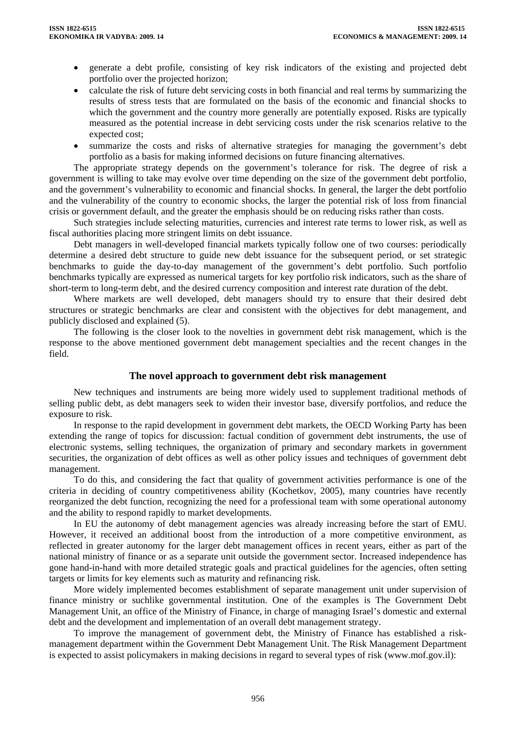- generate a debt profile, consisting of key risk indicators of the existing and projected debt portfolio over the projected horizon;
- calculate the risk of future debt servicing costs in both financial and real terms by summarizing the results of stress tests that are formulated on the basis of the economic and financial shocks to which the government and the country more generally are potentially exposed. Risks are typically measured as the potential increase in debt servicing costs under the risk scenarios relative to the expected cost;
- summarize the costs and risks of alternative strategies for managing the government's debt portfolio as a basis for making informed decisions on future financing alternatives.

The appropriate strategy depends on the government's tolerance for risk. The degree of risk a government is willing to take may evolve over time depending on the size of the government debt portfolio, and the government's vulnerability to economic and financial shocks. In general, the larger the debt portfolio and the vulnerability of the country to economic shocks, the larger the potential risk of loss from financial crisis or government default, and the greater the emphasis should be on reducing risks rather than costs.

Such strategies include selecting maturities, currencies and interest rate terms to lower risk, as well as fiscal authorities placing more stringent limits on debt issuance.

Debt managers in well-developed financial markets typically follow one of two courses: periodically determine a desired debt structure to guide new debt issuance for the subsequent period, or set strategic benchmarks to guide the day-to-day management of the government's debt portfolio. Such portfolio benchmarks typically are expressed as numerical targets for key portfolio risk indicators, such as the share of short-term to long-term debt, and the desired currency composition and interest rate duration of the debt.

Where markets are well developed, debt managers should try to ensure that their desired debt structures or strategic benchmarks are clear and consistent with the objectives for debt management, and publicly disclosed and explained (5).

The following is the closer look to the novelties in government debt risk management, which is the response to the above mentioned government debt management specialties and the recent changes in the field.

# **The novel approach to government debt risk management**

New techniques and instruments are being more widely used to supplement traditional methods of selling public debt, as debt managers seek to widen their investor base, diversify portfolios, and reduce the exposure to risk.

In response to the rapid development in government debt markets, the OECD Working Party has been extending the range of topics for discussion: factual condition of government debt instruments, the use of electronic systems, selling techniques, the organization of primary and secondary markets in government securities, the organization of debt offices as well as other policy issues and techniques of government debt management.

To do this, and considering the fact that quality of government activities performance is one of the criteria in deciding of country competitiveness ability (Kochetkov, 2005), many countries have recently reorganized the debt function, recognizing the need for a professional team with some operational autonomy and the ability to respond rapidly to market developments.

In EU the autonomy of debt management agencies was already increasing before the start of EMU. However, it received an additional boost from the introduction of a more competitive environment, as reflected in greater autonomy for the larger debt management offices in recent years, either as part of the national ministry of finance or as a separate unit outside the government sector. Increased independence has gone hand-in-hand with more detailed strategic goals and practical guidelines for the agencies, often setting targets or limits for key elements such as maturity and refinancing risk.

More widely implemented becomes establishment of separate management unit under supervision of finance ministry or suchlike governmental institution. One of the examples is The Government Debt Management Unit, an office of the Ministry of Finance, in charge of managing Israel's domestic and external debt and the development and implementation of an overall debt management strategy.

To improve the management of government debt, the Ministry of Finance has established a riskmanagement department within the Government Debt Management Unit. The Risk Management Department is expected to assist policymakers in making decisions in regard to several types of risk (www.mof.gov.il):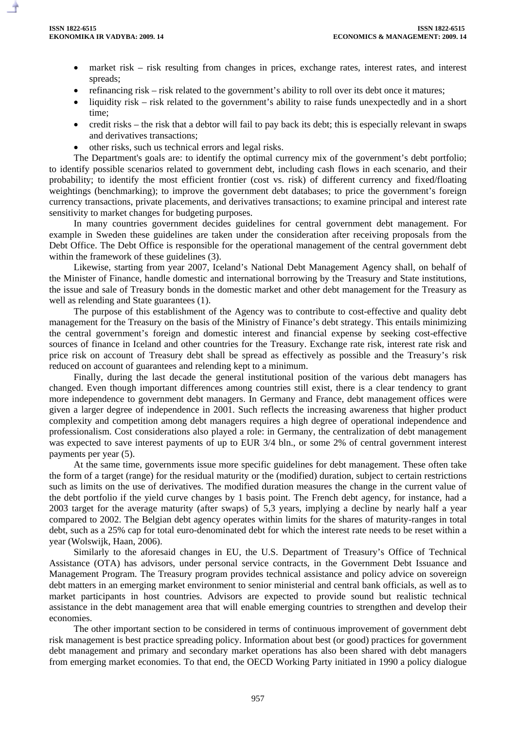- market risk risk resulting from changes in prices, exchange rates, interest rates, and interest spreads;
- refinancing risk risk related to the government's ability to roll over its debt once it matures;
- liquidity risk risk related to the government's ability to raise funds unexpectedly and in a short time;
- credit risks the risk that a debtor will fail to pay back its debt; this is especially relevant in swaps and derivatives transactions;
- other risks, such us technical errors and legal risks.

The Department's goals are: to identify the optimal currency mix of the government's debt portfolio; to identify possible scenarios related to government debt, including cash flows in each scenario, and their probability; to identify the most efficient frontier (cost vs. risk) of different currency and fixed/floating weightings (benchmarking); to improve the government debt databases; to price the government's foreign currency transactions, private placements, and derivatives transactions; to examine principal and interest rate sensitivity to market changes for budgeting purposes.

In many countries government decides guidelines for central government debt management. For example in Sweden these guidelines are taken under the consideration after receiving proposals from the Debt Office. The Debt Office is responsible for the operational management of the central government debt within the framework of these guidelines (3).

Likewise, starting from year 2007, Iceland's National Debt Management Agency shall, on behalf of the Minister of Finance, handle domestic and international borrowing by the Treasury and State institutions, the issue and sale of Treasury bonds in the domestic market and other debt management for the Treasury as well as relending and State guarantees (1).

The purpose of this establishment of the Agency was to contribute to cost-effective and quality debt management for the Treasury on the basis of the Ministry of Finance's debt strategy. This entails minimizing the central government's foreign and domestic interest and financial expense by seeking cost-effective sources of finance in Iceland and other countries for the Treasury. Exchange rate risk, interest rate risk and price risk on account of Treasury debt shall be spread as effectively as possible and the Treasury's risk reduced on account of guarantees and relending kept to a minimum.

Finally, during the last decade the general institutional position of the various debt managers has changed. Even though important differences among countries still exist, there is a clear tendency to grant more independence to government debt managers. In Germany and France, debt management offices were given a larger degree of independence in 2001. Such reflects the increasing awareness that higher product complexity and competition among debt managers requires a high degree of operational independence and professionalism. Cost considerations also played a role: in Germany, the centralization of debt management was expected to save interest payments of up to EUR 3/4 bln., or some 2% of central government interest payments per year (5).

At the same time, governments issue more specific guidelines for debt management. These often take the form of a target (range) for the residual maturity or the (modified) duration, subject to certain restrictions such as limits on the use of derivatives. The modified duration measures the change in the current value of the debt portfolio if the yield curve changes by 1 basis point. The French debt agency, for instance, had a 2003 target for the average maturity (after swaps) of 5,3 years, implying a decline by nearly half a year compared to 2002. The Belgian debt agency operates within limits for the shares of maturity-ranges in total debt, such as a 25% cap for total euro-denominated debt for which the interest rate needs to be reset within a year (Wolswijk, Haan, 2006).

Similarly to the aforesaid changes in EU, the U.S. Department of Treasury's Office of Technical Assistance (OTA) has advisors, under personal service contracts, in the Government Debt Issuance and Management Program. The Treasury program provides technical assistance and policy advice on sovereign debt matters in an emerging market environment to senior ministerial and central bank officials, as well as to market participants in host countries. Advisors are expected to provide sound but realistic technical assistance in the debt management area that will enable emerging countries to strengthen and develop their economies.

The other important section to be considered in terms of continuous improvement of government debt risk management is best practice spreading policy. Information about best (or good) practices for government debt management and primary and secondary market operations has also been shared with debt managers from emerging market economies. To that end, the OECD Working Party initiated in 1990 a policy dialogue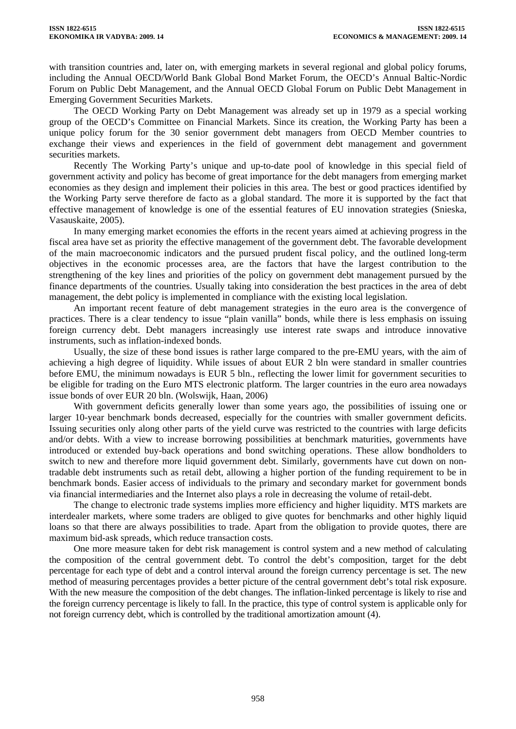with transition countries and, later on, with emerging markets in several regional and global policy forums, including the Annual OECD/World Bank Global Bond Market Forum, the OECD's Annual Baltic-Nordic Forum on Public Debt Management, and the Annual OECD Global Forum on Public Debt Management in Emerging Government Securities Markets.

The OECD Working Party on Debt Management was already set up in 1979 as a special working group of the OECD's Committee on Financial Markets. Since its creation, the Working Party has been a unique policy forum for the 30 senior government debt managers from OECD Member countries to exchange their views and experiences in the field of government debt management and government securities markets.

Recently The Working Party's unique and up-to-date pool of knowledge in this special field of government activity and policy has become of great importance for the debt managers from emerging market economies as they design and implement their policies in this area. The best or good practices identified by the Working Party serve therefore de facto as a global standard. The more it is supported by the fact that effective management of knowledge is one of the essential features of EU innovation strategies (Snieska, Vasauskaite, 2005).

In many emerging market economies the efforts in the recent years aimed at achieving progress in the fiscal area have set as priority the effective management of the government debt. The favorable development of the main macroeconomic indicators and the pursued prudent fiscal policy, and the outlined long-term objectives in the economic processes area, are the factors that have the largest contribution to the strengthening of the key lines and priorities of the policy on government debt management pursued by the finance departments of the countries. Usually taking into consideration the best practices in the area of debt management, the debt policy is implemented in compliance with the existing local legislation.

An important recent feature of debt management strategies in the euro area is the convergence of practices. There is a clear tendency to issue "plain vanilla" bonds, while there is less emphasis on issuing foreign currency debt. Debt managers increasingly use interest rate swaps and introduce innovative instruments, such as inflation-indexed bonds.

Usually, the size of these bond issues is rather large compared to the pre-EMU years, with the aim of achieving a high degree of liquidity. While issues of about EUR 2 bln were standard in smaller countries before EMU, the minimum nowadays is EUR 5 bln., reflecting the lower limit for government securities to be eligible for trading on the Euro MTS electronic platform. The larger countries in the euro area nowadays issue bonds of over EUR 20 bln. (Wolswijk, Haan, 2006)

With government deficits generally lower than some years ago, the possibilities of issuing one or larger 10-year benchmark bonds decreased, especially for the countries with smaller government deficits. Issuing securities only along other parts of the yield curve was restricted to the countries with large deficits and/or debts. With a view to increase borrowing possibilities at benchmark maturities, governments have introduced or extended buy-back operations and bond switching operations. These allow bondholders to switch to new and therefore more liquid government debt. Similarly, governments have cut down on nontradable debt instruments such as retail debt, allowing a higher portion of the funding requirement to be in benchmark bonds. Easier access of individuals to the primary and secondary market for government bonds via financial intermediaries and the Internet also plays a role in decreasing the volume of retail-debt.

The change to electronic trade systems implies more efficiency and higher liquidity. MTS markets are interdealer markets, where some traders are obliged to give quotes for benchmarks and other highly liquid loans so that there are always possibilities to trade. Apart from the obligation to provide quotes, there are maximum bid-ask spreads, which reduce transaction costs.

One more measure taken for debt risk management is control system and a new method of calculating the composition of the central government debt. To control the debt's composition, target for the debt percentage for each type of debt and a control interval around the foreign currency percentage is set. The new method of measuring percentages provides a better picture of the central government debt's total risk exposure. With the new measure the composition of the debt changes. The inflation-linked percentage is likely to rise and the foreign currency percentage is likely to fall. In the practice, this type of control system is applicable only for not foreign currency debt, which is controlled by the traditional amortization amount (4).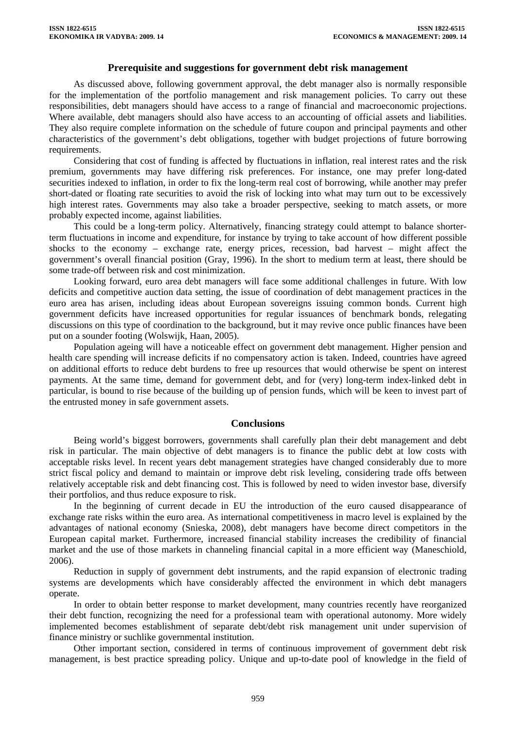### **Prerequisite and suggestions for government debt risk management**

As discussed above, following government approval, the debt manager also is normally responsible for the implementation of the portfolio management and risk management policies. To carry out these responsibilities, debt managers should have access to a range of financial and macroeconomic projections. Where available, debt managers should also have access to an accounting of official assets and liabilities. They also require complete information on the schedule of future coupon and principal payments and other characteristics of the government's debt obligations, together with budget projections of future borrowing requirements.

Considering that cost of funding is affected by fluctuations in inflation, real interest rates and the risk premium, governments may have differing risk preferences. For instance, one may prefer long-dated securities indexed to inflation, in order to fix the long-term real cost of borrowing, while another may prefer short-dated or floating rate securities to avoid the risk of locking into what may turn out to be excessively high interest rates. Governments may also take a broader perspective, seeking to match assets, or more probably expected income, against liabilities.

This could be a long-term policy. Alternatively, financing strategy could attempt to balance shorterterm fluctuations in income and expenditure, for instance by trying to take account of how different possible shocks to the economy – exchange rate, energy prices, recession, bad harvest – might affect the government's overall financial position (Gray, 1996). In the short to medium term at least, there should be some trade-off between risk and cost minimization.

Looking forward, euro area debt managers will face some additional challenges in future. With low deficits and competitive auction data setting, the issue of coordination of debt management practices in the euro area has arisen, including ideas about European sovereigns issuing common bonds. Current high government deficits have increased opportunities for regular issuances of benchmark bonds, relegating discussions on this type of coordination to the background, but it may revive once public finances have been put on a sounder footing (Wolswijk, Haan, 2005).

Population ageing will have a noticeable effect on government debt management. Higher pension and health care spending will increase deficits if no compensatory action is taken. Indeed, countries have agreed on additional efforts to reduce debt burdens to free up resources that would otherwise be spent on interest payments. At the same time, demand for government debt, and for (very) long-term index-linked debt in particular, is bound to rise because of the building up of pension funds, which will be keen to invest part of the entrusted money in safe government assets.

# **Conclusions**

Being world's biggest borrowers, governments shall carefully plan their debt management and debt risk in particular. The main objective of debt managers is to finance the public debt at low costs with acceptable risks level. In recent years debt management strategies have changed considerably due to more strict fiscal policy and demand to maintain or improve debt risk leveling, considering trade offs between relatively acceptable risk and debt financing cost. This is followed by need to widen investor base, diversify their portfolios, and thus reduce exposure to risk.

In the beginning of current decade in EU the introduction of the euro caused disappearance of exchange rate risks within the euro area. As international competitiveness in macro level is explained by the advantages of national economy (Snieska, 2008), debt managers have become direct competitors in the European capital market. Furthermore, increased financial stability increases the credibility of financial market and the use of those markets in channeling financial capital in a more efficient way (Maneschiold, 2006).

Reduction in supply of government debt instruments, and the rapid expansion of electronic trading systems are developments which have considerably affected the environment in which debt managers operate.

In order to obtain better response to market development, many countries recently have reorganized their debt function, recognizing the need for a professional team with operational autonomy. More widely implemented becomes establishment of separate debt/debt risk management unit under supervision of finance ministry or suchlike governmental institution.

Other important section, considered in terms of continuous improvement of government debt risk management, is best practice spreading policy. Unique and up-to-date pool of knowledge in the field of